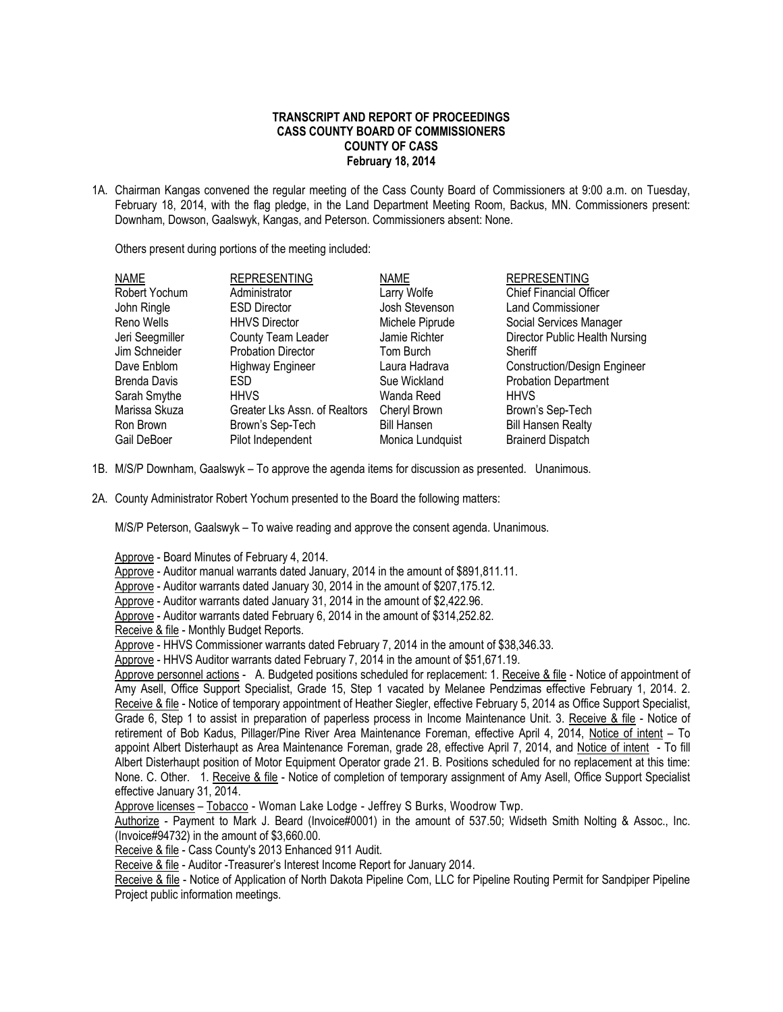## **TRANSCRIPT AND REPORT OF PROCEEDINGS CASS COUNTY BOARD OF COMMISSIONERS COUNTY OF CASS February 18, 2014**

1A. Chairman Kangas convened the regular meeting of the Cass County Board of Commissioners at 9:00 a.m. on Tuesday, February 18, 2014, with the flag pledge, in the Land Department Meeting Room, Backus, MN. Commissioners present: Downham, Dowson, Gaalswyk, Kangas, and Peterson. Commissioners absent: None.

Others present during portions of the meeting included:

| <b>NAME</b>     | <b>REPRESENTING</b>           | <b>NAME</b>        | <b>REPRESENTING</b>                 |
|-----------------|-------------------------------|--------------------|-------------------------------------|
| Robert Yochum   | Administrator                 | Larry Wolfe        | <b>Chief Financial Officer</b>      |
| John Ringle     | <b>ESD Director</b>           | Josh Stevenson     | Land Commissioner                   |
| Reno Wells      | <b>HHVS Director</b>          | Michele Piprude    | Social Services Manager             |
| Jeri Seegmiller | County Team Leader            | Jamie Richter      | Director Public Health Nursing      |
| Jim Schneider   | <b>Probation Director</b>     | Tom Burch          | Sheriff                             |
| Dave Enblom     | <b>Highway Engineer</b>       | Laura Hadrava      | <b>Construction/Design Engineer</b> |
| Brenda Davis    | ESD.                          | Sue Wickland       | <b>Probation Department</b>         |
| Sarah Smythe    | <b>HHVS</b>                   | Wanda Reed         | <b>HHVS</b>                         |
| Marissa Skuza   | Greater Lks Assn. of Realtors | Cheryl Brown       | Brown's Sep-Tech                    |
| Ron Brown       | Brown's Sep-Tech              | <b>Bill Hansen</b> | <b>Bill Hansen Realty</b>           |
| Gail DeBoer     | Pilot Independent             | Monica Lundquist   | <b>Brainerd Dispatch</b>            |

- 1B. M/S/P Downham, Gaalswyk To approve the agenda items for discussion as presented. Unanimous.
- 2A. County Administrator Robert Yochum presented to the Board the following matters:

M/S/P Peterson, Gaalswyk – To waive reading and approve the consent agenda. Unanimous.

Approve - Board Minutes of February 4, 2014.

Approve - Auditor manual warrants dated January, 2014 in the amount of \$891,811.11.

Approve - Auditor warrants dated January 30, 2014 in the amount of \$207,175.12.

Approve - Auditor warrants dated January 31, 2014 in the amount of \$2,422.96.

Approve - Auditor warrants dated February 6, 2014 in the amount of \$314,252.82.

Receive & file - Monthly Budget Reports.

Approve - HHVS Commissioner warrants dated February 7, 2014 in the amount of \$38,346.33.

Approve - HHVS Auditor warrants dated February 7, 2014 in the amount of \$51,671.19.

Approve personnel actions - A. Budgeted positions scheduled for replacement: 1. Receive & file - Notice of appointment of Amy Asell, Office Support Specialist, Grade 15, Step 1 vacated by Melanee Pendzimas effective February 1, 2014. 2. Receive & file - Notice of temporary appointment of Heather Siegler, effective February 5, 2014 as Office Support Specialist, Grade 6, Step 1 to assist in preparation of paperless process in Income Maintenance Unit. 3. Receive & file - Notice of retirement of Bob Kadus, Pillager/Pine River Area Maintenance Foreman, effective April 4, 2014, Notice of intent – To appoint Albert Disterhaupt as Area Maintenance Foreman, grade 28, effective April 7, 2014, and Notice of intent - To fill Albert Disterhaupt position of Motor Equipment Operator grade 21. B. Positions scheduled for no replacement at this time: None. C. Other. 1. Receive & file - Notice of completion of temporary assignment of Amy Asell, Office Support Specialist effective January 31, 2014.

Approve licenses – Tobacco - Woman Lake Lodge - Jeffrey S Burks, Woodrow Twp.

Authorize - Payment to Mark J. Beard (Invoice#0001) in the amount of 537.50; Widseth Smith Nolting & Assoc., Inc. (Invoice#94732) in the amount of \$3,660.00.

Receive & file - Cass County's 2013 Enhanced 911 Audit.

Receive & file - Auditor -Treasurer's Interest Income Report for January 2014.

Receive & file - Notice of Application of North Dakota Pipeline Com, LLC for Pipeline Routing Permit for Sandpiper Pipeline Project public information meetings.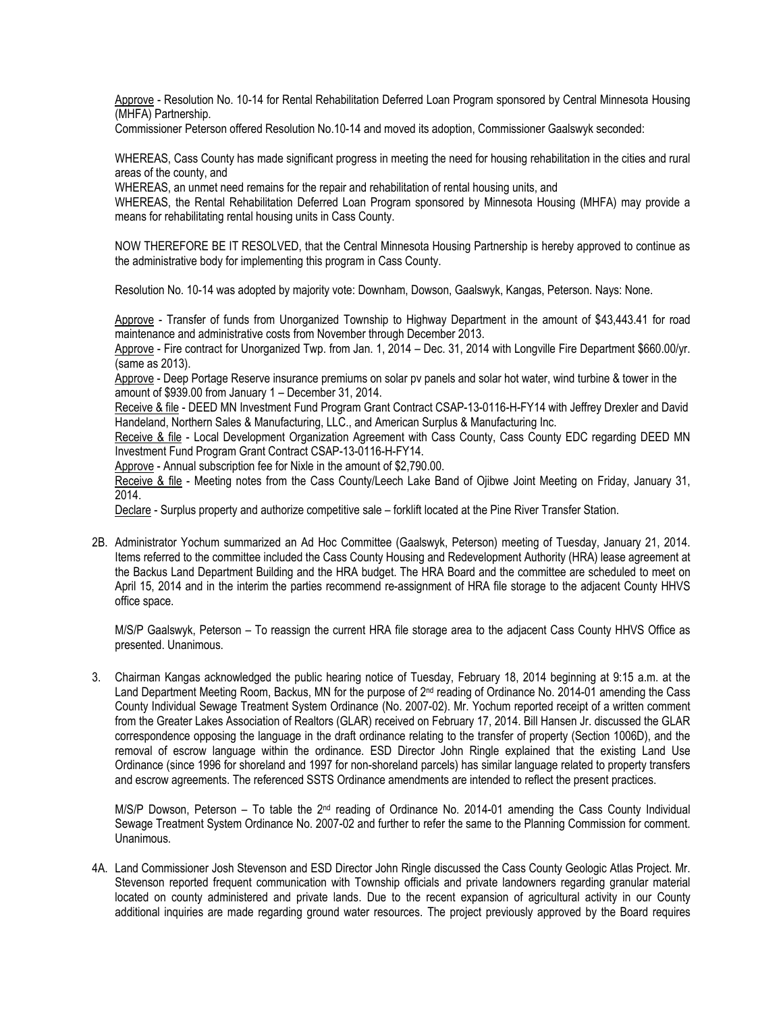Approve - Resolution No. 10-14 for Rental Rehabilitation Deferred Loan Program sponsored by Central Minnesota Housing (MHFA) Partnership.

Commissioner Peterson offered Resolution No.10-14 and moved its adoption, Commissioner Gaalswyk seconded:

WHEREAS, Cass County has made significant progress in meeting the need for housing rehabilitation in the cities and rural areas of the county, and

WHEREAS, an unmet need remains for the repair and rehabilitation of rental housing units, and

WHEREAS, the Rental Rehabilitation Deferred Loan Program sponsored by Minnesota Housing (MHFA) may provide a means for rehabilitating rental housing units in Cass County.

NOW THEREFORE BE IT RESOLVED, that the Central Minnesota Housing Partnership is hereby approved to continue as the administrative body for implementing this program in Cass County.

Resolution No. 10-14 was adopted by majority vote: Downham, Dowson, Gaalswyk, Kangas, Peterson. Nays: None.

Approve - Transfer of funds from Unorganized Township to Highway Department in the amount of \$43,443.41 for road maintenance and administrative costs from November through December 2013.

Approve - Fire contract for Unorganized Twp. from Jan. 1, 2014 – Dec. 31, 2014 with Longville Fire Department \$660.00/yr. (same as 2013).

Approve - Deep Portage Reserve insurance premiums on solar pv panels and solar hot water, wind turbine & tower in the amount of \$939.00 from January 1 – December 31, 2014.

Receive & file - DEED MN Investment Fund Program Grant Contract CSAP-13-0116-H-FY14 with Jeffrey Drexler and David Handeland, Northern Sales & Manufacturing, LLC., and American Surplus & Manufacturing Inc.

Receive & file - Local Development Organization Agreement with Cass County, Cass County EDC regarding DEED MN Investment Fund Program Grant Contract CSAP-13-0116-H-FY14.

Approve - Annual subscription fee for Nixle in the amount of \$2,790.00.

Receive & file - Meeting notes from the Cass County/Leech Lake Band of Ojibwe Joint Meeting on Friday, January 31, 2014.

Declare - Surplus property and authorize competitive sale – forklift located at the Pine River Transfer Station.

2B. Administrator Yochum summarized an Ad Hoc Committee (Gaalswyk, Peterson) meeting of Tuesday, January 21, 2014. Items referred to the committee included the Cass County Housing and Redevelopment Authority (HRA) lease agreement at the Backus Land Department Building and the HRA budget. The HRA Board and the committee are scheduled to meet on April 15, 2014 and in the interim the parties recommend re-assignment of HRA file storage to the adjacent County HHVS office space.

M/S/P Gaalswyk, Peterson – To reassign the current HRA file storage area to the adjacent Cass County HHVS Office as presented. Unanimous.

3. Chairman Kangas acknowledged the public hearing notice of Tuesday, February 18, 2014 beginning at 9:15 a.m. at the Land Department Meeting Room, Backus, MN for the purpose of 2<sup>nd</sup> reading of Ordinance No. 2014-01 amending the Cass County Individual Sewage Treatment System Ordinance (No. 2007-02). Mr. Yochum reported receipt of a written comment from the Greater Lakes Association of Realtors (GLAR) received on February 17, 2014. Bill Hansen Jr. discussed the GLAR correspondence opposing the language in the draft ordinance relating to the transfer of property (Section 1006D), and the removal of escrow language within the ordinance. ESD Director John Ringle explained that the existing Land Use Ordinance (since 1996 for shoreland and 1997 for non-shoreland parcels) has similar language related to property transfers and escrow agreements. The referenced SSTS Ordinance amendments are intended to reflect the present practices.

M/S/P Dowson, Peterson – To table the 2<sup>nd</sup> reading of Ordinance No. 2014-01 amending the Cass County Individual Sewage Treatment System Ordinance No. 2007-02 and further to refer the same to the Planning Commission for comment. Unanimous.

4A. Land Commissioner Josh Stevenson and ESD Director John Ringle discussed the Cass County Geologic Atlas Project. Mr. Stevenson reported frequent communication with Township officials and private landowners regarding granular material located on county administered and private lands. Due to the recent expansion of agricultural activity in our County additional inquiries are made regarding ground water resources. The project previously approved by the Board requires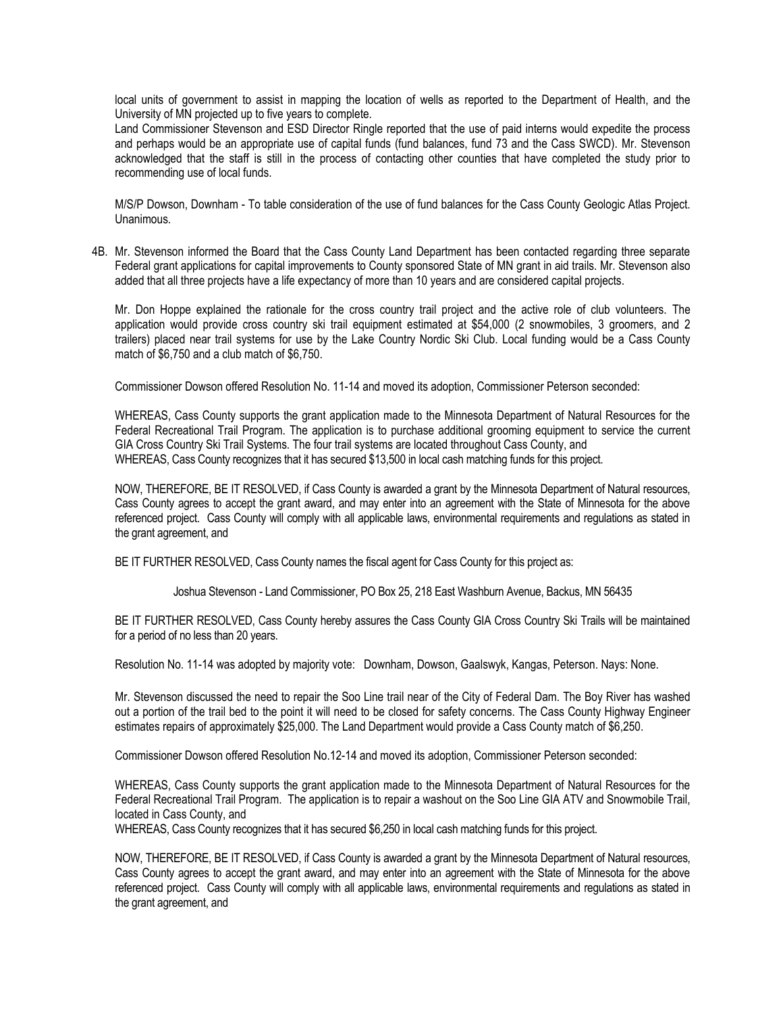local units of government to assist in mapping the location of wells as reported to the Department of Health, and the University of MN projected up to five years to complete.

Land Commissioner Stevenson and ESD Director Ringle reported that the use of paid interns would expedite the process and perhaps would be an appropriate use of capital funds (fund balances, fund 73 and the Cass SWCD). Mr. Stevenson acknowledged that the staff is still in the process of contacting other counties that have completed the study prior to recommending use of local funds.

M/S/P Dowson, Downham - To table consideration of the use of fund balances for the Cass County Geologic Atlas Project. Unanimous.

4B. Mr. Stevenson informed the Board that the Cass County Land Department has been contacted regarding three separate Federal grant applications for capital improvements to County sponsored State of MN grant in aid trails. Mr. Stevenson also added that all three projects have a life expectancy of more than 10 years and are considered capital projects.

Mr. Don Hoppe explained the rationale for the cross country trail project and the active role of club volunteers. The application would provide cross country ski trail equipment estimated at \$54,000 (2 snowmobiles, 3 groomers, and 2 trailers) placed near trail systems for use by the Lake Country Nordic Ski Club. Local funding would be a Cass County match of \$6,750 and a club match of \$6,750.

Commissioner Dowson offered Resolution No. 11-14 and moved its adoption, Commissioner Peterson seconded:

WHEREAS, Cass County supports the grant application made to the Minnesota Department of Natural Resources for the Federal Recreational Trail Program. The application is to purchase additional grooming equipment to service the current GIA Cross Country Ski Trail Systems. The four trail systems are located throughout Cass County, and WHEREAS, Cass County recognizes that it has secured \$13,500 in local cash matching funds for this project.

NOW, THEREFORE, BE IT RESOLVED, if Cass County is awarded a grant by the Minnesota Department of Natural resources, Cass County agrees to accept the grant award, and may enter into an agreement with the State of Minnesota for the above referenced project. Cass County will comply with all applicable laws, environmental requirements and regulations as stated in the grant agreement, and

BE IT FURTHER RESOLVED, Cass County names the fiscal agent for Cass County for this project as:

Joshua Stevenson - Land Commissioner, PO Box 25, 218 East Washburn Avenue, Backus, MN 56435

BE IT FURTHER RESOLVED, Cass County hereby assures the Cass County GIA Cross Country Ski Trails will be maintained for a period of no less than 20 years.

Resolution No. 11-14 was adopted by majority vote: Downham, Dowson, Gaalswyk, Kangas, Peterson. Nays: None.

Mr. Stevenson discussed the need to repair the Soo Line trail near of the City of Federal Dam. The Boy River has washed out a portion of the trail bed to the point it will need to be closed for safety concerns. The Cass County Highway Engineer estimates repairs of approximately \$25,000. The Land Department would provide a Cass County match of \$6,250.

Commissioner Dowson offered Resolution No.12-14 and moved its adoption, Commissioner Peterson seconded:

WHEREAS, Cass County supports the grant application made to the Minnesota Department of Natural Resources for the Federal Recreational Trail Program. The application is to repair a washout on the Soo Line GIA ATV and Snowmobile Trail, located in Cass County, and

WHEREAS, Cass County recognizes that it has secured \$6,250 in local cash matching funds for this project.

NOW, THEREFORE, BE IT RESOLVED, if Cass County is awarded a grant by the Minnesota Department of Natural resources, Cass County agrees to accept the grant award, and may enter into an agreement with the State of Minnesota for the above referenced project. Cass County will comply with all applicable laws, environmental requirements and regulations as stated in the grant agreement, and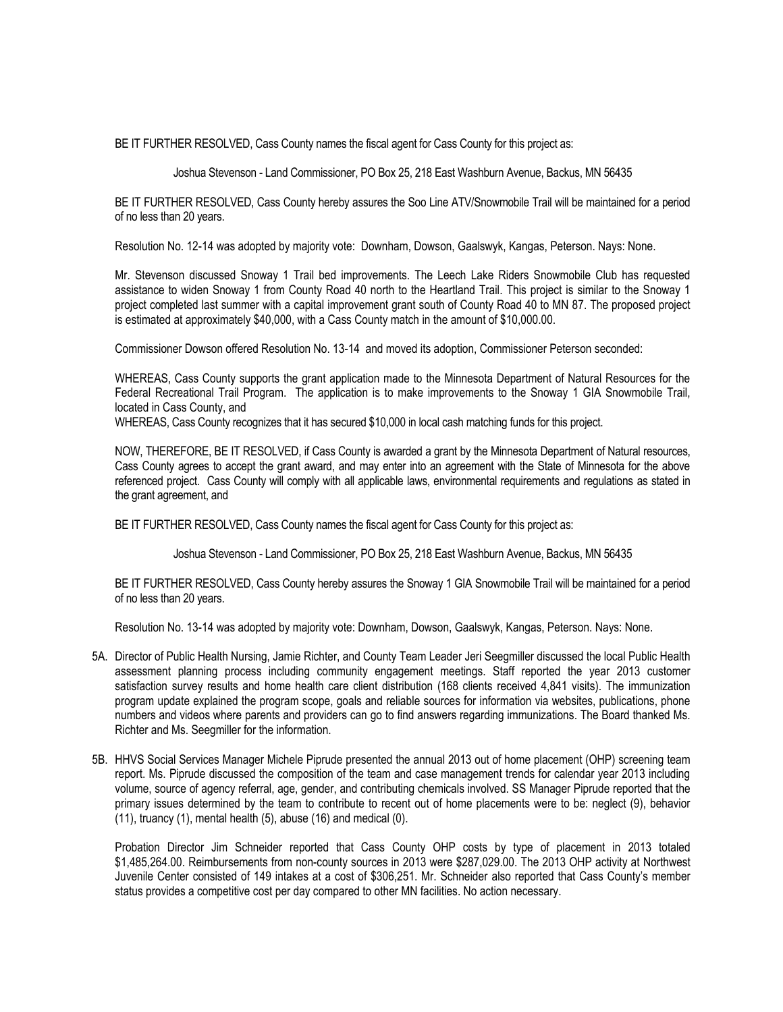BE IT FURTHER RESOLVED, Cass County names the fiscal agent for Cass County for this project as:

Joshua Stevenson - Land Commissioner, PO Box 25, 218 East Washburn Avenue, Backus, MN 56435

BE IT FURTHER RESOLVED, Cass County hereby assures the Soo Line ATV/Snowmobile Trail will be maintained for a period of no less than 20 years.

Resolution No. 12-14 was adopted by majority vote: Downham, Dowson, Gaalswyk, Kangas, Peterson. Nays: None.

Mr. Stevenson discussed Snoway 1 Trail bed improvements. The Leech Lake Riders Snowmobile Club has requested assistance to widen Snoway 1 from County Road 40 north to the Heartland Trail. This project is similar to the Snoway 1 project completed last summer with a capital improvement grant south of County Road 40 to MN 87. The proposed project is estimated at approximately \$40,000, with a Cass County match in the amount of \$10,000.00.

Commissioner Dowson offered Resolution No. 13-14 and moved its adoption, Commissioner Peterson seconded:

WHEREAS, Cass County supports the grant application made to the Minnesota Department of Natural Resources for the Federal Recreational Trail Program. The application is to make improvements to the Snoway 1 GIA Snowmobile Trail, located in Cass County, and

WHEREAS, Cass County recognizes that it has secured \$10,000 in local cash matching funds for this project.

NOW, THEREFORE, BE IT RESOLVED, if Cass County is awarded a grant by the Minnesota Department of Natural resources, Cass County agrees to accept the grant award, and may enter into an agreement with the State of Minnesota for the above referenced project. Cass County will comply with all applicable laws, environmental requirements and regulations as stated in the grant agreement, and

BE IT FURTHER RESOLVED, Cass County names the fiscal agent for Cass County for this project as:

Joshua Stevenson - Land Commissioner, PO Box 25, 218 East Washburn Avenue, Backus, MN 56435

BE IT FURTHER RESOLVED, Cass County hereby assures the Snoway 1 GIA Snowmobile Trail will be maintained for a period of no less than 20 years.

Resolution No. 13-14 was adopted by majority vote: Downham, Dowson, Gaalswyk, Kangas, Peterson. Nays: None.

- 5A. Director of Public Health Nursing, Jamie Richter, and County Team Leader Jeri Seegmiller discussed the local Public Health assessment planning process including community engagement meetings. Staff reported the year 2013 customer satisfaction survey results and home health care client distribution (168 clients received 4,841 visits). The immunization program update explained the program scope, goals and reliable sources for information via websites, publications, phone numbers and videos where parents and providers can go to find answers regarding immunizations. The Board thanked Ms. Richter and Ms. Seegmiller for the information.
- 5B. HHVS Social Services Manager Michele Piprude presented the annual 2013 out of home placement (OHP) screening team report. Ms. Piprude discussed the composition of the team and case management trends for calendar year 2013 including volume, source of agency referral, age, gender, and contributing chemicals involved. SS Manager Piprude reported that the primary issues determined by the team to contribute to recent out of home placements were to be: neglect (9), behavior (11), truancy (1), mental health (5), abuse (16) and medical (0).

Probation Director Jim Schneider reported that Cass County OHP costs by type of placement in 2013 totaled \$1,485,264.00. Reimbursements from non-county sources in 2013 were \$287,029.00. The 2013 OHP activity at Northwest Juvenile Center consisted of 149 intakes at a cost of \$306,251. Mr. Schneider also reported that Cass County's member status provides a competitive cost per day compared to other MN facilities. No action necessary.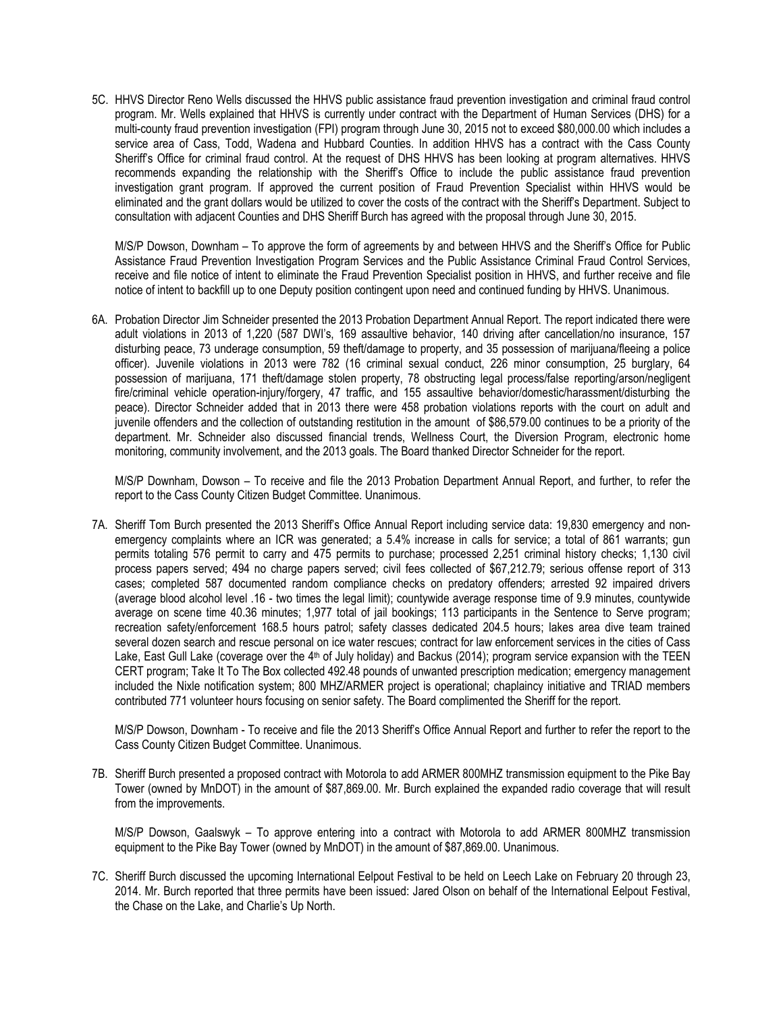5C. HHVS Director Reno Wells discussed the HHVS public assistance fraud prevention investigation and criminal fraud control program. Mr. Wells explained that HHVS is currently under contract with the Department of Human Services (DHS) for a multi-county fraud prevention investigation (FPI) program through June 30, 2015 not to exceed \$80,000.00 which includes a service area of Cass, Todd, Wadena and Hubbard Counties. In addition HHVS has a contract with the Cass County Sheriff's Office for criminal fraud control. At the request of DHS HHVS has been looking at program alternatives. HHVS recommends expanding the relationship with the Sheriff's Office to include the public assistance fraud prevention investigation grant program. If approved the current position of Fraud Prevention Specialist within HHVS would be eliminated and the grant dollars would be utilized to cover the costs of the contract with the Sheriff's Department. Subject to consultation with adjacent Counties and DHS Sheriff Burch has agreed with the proposal through June 30, 2015.

M/S/P Dowson, Downham – To approve the form of agreements by and between HHVS and the Sheriff's Office for Public Assistance Fraud Prevention Investigation Program Services and the Public Assistance Criminal Fraud Control Services, receive and file notice of intent to eliminate the Fraud Prevention Specialist position in HHVS, and further receive and file notice of intent to backfill up to one Deputy position contingent upon need and continued funding by HHVS. Unanimous.

6A. Probation Director Jim Schneider presented the 2013 Probation Department Annual Report. The report indicated there were adult violations in 2013 of 1,220 (587 DWI's, 169 assaultive behavior, 140 driving after cancellation/no insurance, 157 disturbing peace, 73 underage consumption, 59 theft/damage to property, and 35 possession of marijuana/fleeing a police officer). Juvenile violations in 2013 were 782 (16 criminal sexual conduct, 226 minor consumption, 25 burglary, 64 possession of marijuana, 171 theft/damage stolen property, 78 obstructing legal process/false reporting/arson/negligent fire/criminal vehicle operation-injury/forgery, 47 traffic, and 155 assaultive behavior/domestic/harassment/disturbing the peace). Director Schneider added that in 2013 there were 458 probation violations reports with the court on adult and juvenile offenders and the collection of outstanding restitution in the amount of \$86,579.00 continues to be a priority of the department. Mr. Schneider also discussed financial trends, Wellness Court, the Diversion Program, electronic home monitoring, community involvement, and the 2013 goals. The Board thanked Director Schneider for the report.

M/S/P Downham, Dowson – To receive and file the 2013 Probation Department Annual Report, and further, to refer the report to the Cass County Citizen Budget Committee. Unanimous.

7A. Sheriff Tom Burch presented the 2013 Sheriff's Office Annual Report including service data: 19,830 emergency and nonemergency complaints where an ICR was generated; a 5.4% increase in calls for service; a total of 861 warrants; gun permits totaling 576 permit to carry and 475 permits to purchase; processed 2,251 criminal history checks; 1,130 civil process papers served; 494 no charge papers served; civil fees collected of \$67,212.79; serious offense report of 313 cases; completed 587 documented random compliance checks on predatory offenders; arrested 92 impaired drivers (average blood alcohol level .16 - two times the legal limit); countywide average response time of 9.9 minutes, countywide average on scene time 40.36 minutes; 1,977 total of jail bookings; 113 participants in the Sentence to Serve program; recreation safety/enforcement 168.5 hours patrol; safety classes dedicated 204.5 hours; lakes area dive team trained several dozen search and rescue personal on ice water rescues; contract for law enforcement services in the cities of Cass Lake, East Gull Lake (coverage over the 4<sup>th</sup> of July holiday) and Backus (2014); program service expansion with the TEEN CERT program; Take It To The Box collected 492.48 pounds of unwanted prescription medication; emergency management included the Nixle notification system; 800 MHZ/ARMER project is operational; chaplaincy initiative and TRIAD members contributed 771 volunteer hours focusing on senior safety. The Board complimented the Sheriff for the report.

M/S/P Dowson, Downham - To receive and file the 2013 Sheriff's Office Annual Report and further to refer the report to the Cass County Citizen Budget Committee. Unanimous.

7B. Sheriff Burch presented a proposed contract with Motorola to add ARMER 800MHZ transmission equipment to the Pike Bay Tower (owned by MnDOT) in the amount of \$87,869.00. Mr. Burch explained the expanded radio coverage that will result from the improvements.

M/S/P Dowson, Gaalswyk – To approve entering into a contract with Motorola to add ARMER 800MHZ transmission equipment to the Pike Bay Tower (owned by MnDOT) in the amount of \$87,869.00. Unanimous.

7C. Sheriff Burch discussed the upcoming International Eelpout Festival to be held on Leech Lake on February 20 through 23, 2014. Mr. Burch reported that three permits have been issued: Jared Olson on behalf of the International Eelpout Festival, the Chase on the Lake, and Charlie's Up North.